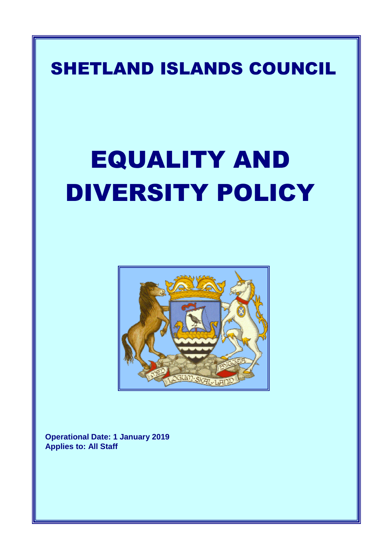## SHETLAND ISLANDS COUNCIL

# EQUALITY AND DIVERSITY POLICY



**Operational Date: 1 January 2019 Applies to: All Staff**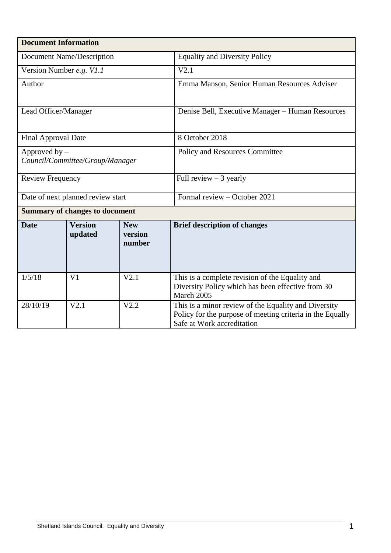| <b>Document Information</b>                        |                           |                                 |                                                                                                                                                 |  |  |
|----------------------------------------------------|---------------------------|---------------------------------|-------------------------------------------------------------------------------------------------------------------------------------------------|--|--|
| <b>Document Name/Description</b>                   |                           |                                 | <b>Equality and Diversity Policy</b>                                                                                                            |  |  |
| Version Number e.g. V1.1                           |                           |                                 | V2.1                                                                                                                                            |  |  |
| Author                                             |                           |                                 | Emma Manson, Senior Human Resources Adviser                                                                                                     |  |  |
| Lead Officer/Manager                               |                           |                                 | Denise Bell, Executive Manager - Human Resources                                                                                                |  |  |
| <b>Final Approval Date</b>                         |                           |                                 | 8 October 2018                                                                                                                                  |  |  |
| Approved by $-$<br>Council/Committee/Group/Manager |                           |                                 | Policy and Resources Committee                                                                                                                  |  |  |
| <b>Review Frequency</b>                            |                           |                                 | Full review $-3$ yearly                                                                                                                         |  |  |
| Date of next planned review start                  |                           |                                 | Formal review - October 2021                                                                                                                    |  |  |
| <b>Summary of changes to document</b>              |                           |                                 |                                                                                                                                                 |  |  |
| <b>Date</b>                                        | <b>Version</b><br>updated | <b>New</b><br>version<br>number | <b>Brief description of changes</b>                                                                                                             |  |  |
| 1/5/18                                             | V <sub>1</sub>            | V2.1                            | This is a complete revision of the Equality and<br>Diversity Policy which has been effective from 30<br>March 2005                              |  |  |
| 28/10/19                                           | V2.1                      | V2.2                            | This is a minor review of the Equality and Diversity<br>Policy for the purpose of meeting criteria in the Equally<br>Safe at Work accreditation |  |  |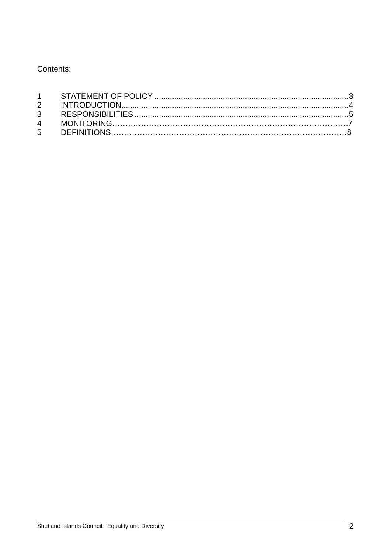Contents: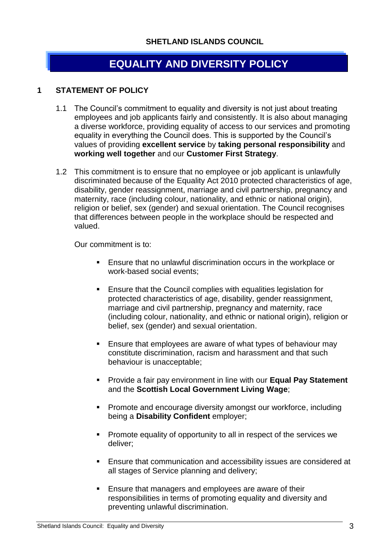### **EQUALITY AND DIVERSITY POLICY**

#### <span id="page-3-0"></span>**1 STATEMENT OF POLICY**

- 1.1 The Council's commitment to equality and diversity is not just about treating employees and job applicants fairly and consistently. It is also about managing a diverse workforce, providing equality of access to our services and promoting equality in everything the Council does. This is supported by the Council's values of providing **excellent service** by **taking personal responsibility** and **working well together** and our **Customer First Strategy**.
- 1.2 This commitment is to ensure that no employee or job applicant is unlawfully discriminated because of the Equality Act 2010 protected characteristics of age, disability, gender reassignment, marriage and civil partnership, pregnancy and maternity, race (including colour, nationality, and ethnic or national origin), religion or belief, sex (gender) and sexual orientation. The Council recognises that differences between people in the workplace should be respected and valued.

Our commitment is to:

- Ensure that no unlawful discrimination occurs in the workplace or work-based social events;
- Ensure that the Council complies with equalities legislation for protected characteristics of age, disability, gender reassignment, marriage and civil partnership, pregnancy and maternity, race (including colour, nationality, and ethnic or national origin), religion or belief, sex (gender) and sexual orientation.
- **Ensure that employees are aware of what types of behaviour may** constitute discrimination, racism and harassment and that such behaviour is unacceptable;
- **Provide a fair pay environment in line with our Equal Pay Statement** and the **Scottish Local Government Living Wage**;
- **Promote and encourage diversity amongst our workforce, including** being a **Disability Confident** employer;
- **Promote equality of opportunity to all in respect of the services we** deliver;
- **Ensure that communication and accessibility issues are considered at** all stages of Service planning and delivery;
- Ensure that managers and employees are aware of their responsibilities in terms of promoting equality and diversity and preventing unlawful discrimination.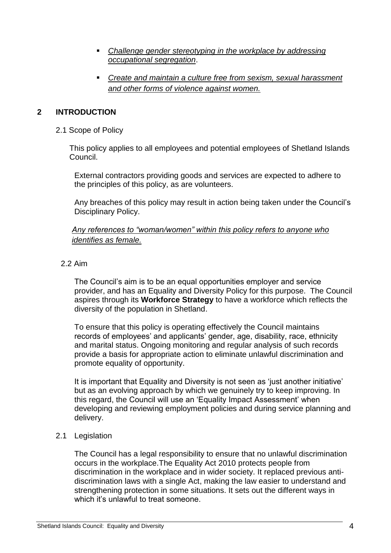- *Challenge gender stereotyping in the workplace by addressing occupational segregation*.
- *Create and maintain a culture free from sexism, sexual harassment and other forms of violence against women.*

#### **2 INTRODUCTION**

#### 2.1 Scope of Policy

This policy applies to all employees and potential employees of Shetland Islands Council.

External contractors providing goods and services are expected to adhere to the principles of this policy, as are volunteers.

Any breaches of this policy may result in action being taken under the Council's Disciplinary Policy.

#### *Any references to "woman/women" within this policy refers to anyone who identifies as female.*

#### 2.2 Aim

The Council's aim is to be an equal opportunities employer and service provider, and has an Equality and Diversity Policy for this purpose. The Council aspires through its **Workforce Strategy** to have a workforce which reflects the diversity of the population in Shetland.

To ensure that this policy is operating effectively the Council maintains records of employees' and applicants' gender, age, disability, race, ethnicity and marital status. Ongoing monitoring and regular analysis of such records provide a basis for appropriate action to eliminate unlawful discrimination and promote equality of opportunity.

It is important that Equality and Diversity is not seen as 'just another initiative' but as an evolving approach by which we genuinely try to keep improving. In this regard, the Council will use an 'Equality Impact Assessment' when developing and reviewing employment policies and during service planning and delivery.

#### <span id="page-4-0"></span>2.1 Legislation

The Council has a legal responsibility to ensure that no unlawful discrimination occurs in the workplace.The Equality Act 2010 protects people from discrimination in the workplace and in wider society. It replaced previous antidiscrimination laws with a single Act, making the law easier to understand and strengthening protection in some situations. It sets out the different ways in which it's unlawful to treat someone.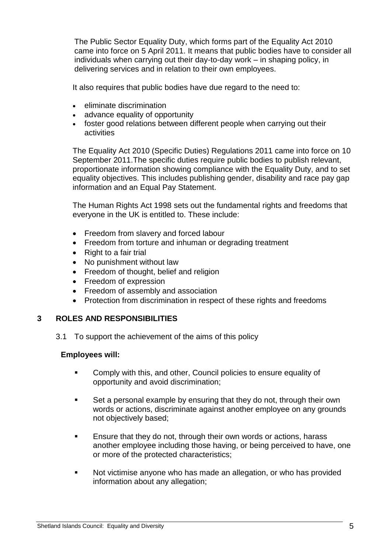The [Public Sector Equality Duty,](http://www.legislation.gov.uk/ukpga/2010/15/section/149) which forms part of the Equality Act 2010 came into force on 5 April 2011. It means that public bodies have to consider all individuals when carrying out their day-to-day work – in shaping policy, in delivering services and in relation to their own employees.

It also requires that public bodies have due regard to the need to:

- eliminate discrimination
- advance equality of opportunity
- foster good relations between different people when carrying out their activities

The Equality Act 2010 (Specific Duties) Regulations 2011 came into force on 10 September 2011.The specific duties require public bodies to publish relevant, proportionate information showing compliance with the Equality Duty, and to set equality objectives. This includes publishing gender, disability and race pay gap information and an Equal Pay Statement.

The Human Rights Act 1998 sets out the fundamental rights and freedoms that everyone in the UK is entitled to. These include:

- Freedom from slavery and forced labour
- Freedom from torture and inhuman or degrading treatment
- $\bullet$  Right to a fair trial
- No punishment without law
- Freedom of thought, belief and religion
- Freedom of expression
- Freedom of assembly and association
- Protection from discrimination in respect of these rights and freedoms

#### <span id="page-5-0"></span>**3 ROLES AND RESPONSIBILITIES**

3.1 To support the achievement of the aims of this policy

#### **Employees will:**

- **EXECOMPLED COMPLY With this, and other, Council policies to ensure equality of** opportunity and avoid discrimination;
- Set a personal example by ensuring that they do not, through their own words or actions, discriminate against another employee on any grounds not objectively based;
- Ensure that they do not, through their own words or actions, harass another employee including those having, or being perceived to have, one or more of the protected characteristics;
- Not victimise anyone who has made an allegation, or who has provided information about any allegation;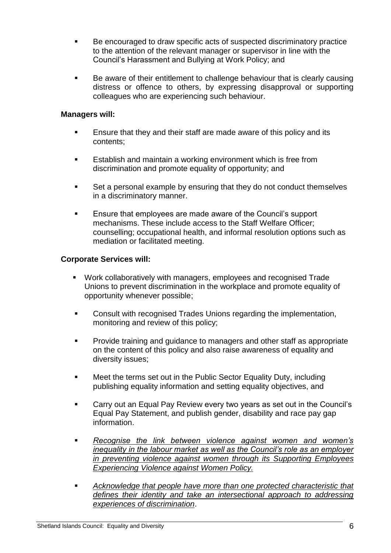- Be encouraged to draw specific acts of suspected discriminatory practice to the attention of the relevant manager or supervisor in line with the Council's Harassment and Bullying at Work Policy; and
- Be aware of their entitlement to challenge behaviour that is clearly causing distress or offence to others, by expressing disapproval or supporting colleagues who are experiencing such behaviour.

#### **Managers will:**

- **Ensure that they and their staff are made aware of this policy and its** contents;
- **Establish and maintain a working environment which is free from** discrimination and promote equality of opportunity; and
- Set a personal example by ensuring that they do not conduct themselves in a discriminatory manner.
- **Ensure that employees are made aware of the Council's support** mechanisms. These include access to the Staff Welfare Officer; counselling; occupational health, and informal resolution options such as mediation or facilitated meeting.

#### **Corporate Services will:**

- Work collaboratively with managers, employees and recognised Trade Unions to prevent discrimination in the workplace and promote equality of opportunity whenever possible;
- **EXECONSUM** Consult with recognised Trades Unions regarding the implementation, monitoring and review of this policy;
- **Provide training and guidance to managers and other staff as appropriate** on the content of this policy and also raise awareness of equality and diversity issues;
- **EXECT** Meet the terms set out in the Public Sector Equality Duty, including publishing equality information and setting equality objectives, and
- **Carry out an Equal Pay Review every two years as set out in the Council's** Equal Pay Statement, and publish gender, disability and race pay gap information.
- *Recognise the link between violence against women and women's inequality in the labour market as well as the Council's role as an employer in preventing violence against women through its Supporting Employees Experiencing Violence against Women Policy.*
- *Acknowledge that people have more than one protected characteristic that defines their identity and take an intersectional approach to addressing experiences of discrimination*.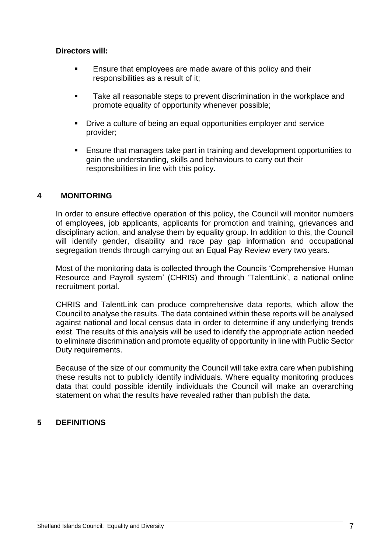#### **Directors will:**

- **Ensure that employees are made aware of this policy and their** responsibilities as a result of it;
- Take all reasonable steps to prevent discrimination in the workplace and promote equality of opportunity whenever possible;
- Drive a culture of being an equal opportunities employer and service provider;
- Ensure that managers take part in training and development opportunities to gain the understanding, skills and behaviours to carry out their responsibilities in line with this policy.

#### **4 MONITORING**

In order to ensure effective operation of this policy, the Council will monitor numbers of employees, job applicants, applicants for promotion and training, grievances and disciplinary action, and analyse them by equality group. In addition to this, the Council will identify gender, disability and race pay gap information and occupational segregation trends through carrying out an Equal Pay Review every two years.

Most of the monitoring data is collected through the Councils 'Comprehensive Human Resource and Payroll system' (CHRIS) and through 'TalentLink', a national online recruitment portal.

CHRIS and TalentLink can produce comprehensive data reports, which allow the Council to analyse the results. The data contained within these reports will be analysed against national and local census data in order to determine if any underlying trends exist. The results of this analysis will be used to identify the appropriate action needed to eliminate discrimination and promote equality of opportunity in line with Public Sector Duty requirements.

Because of the size of our community the Council will take extra care when publishing these results not to publicly identify individuals. Where equality monitoring produces data that could possible identify individuals the Council will make an overarching statement on what the results have revealed rather than publish the data.

#### **5 DEFINITIONS**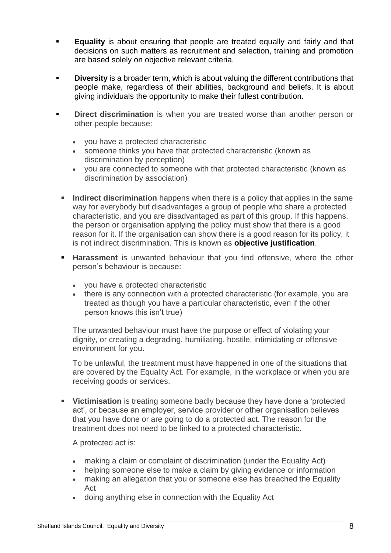- **Equality** is about ensuring that people are treated equally and fairly and that decisions on such matters as recruitment and selection, training and promotion are based solely on objective relevant criteria.
- **Diversity** is a broader term, which is about valuing the different contributions that people make, regardless of their abilities, background and beliefs. It is about giving individuals the opportunity to make their fullest contribution.
- **Direct discrimination** is when you are treated worse than another person or other people because:
	- you have a protected characteristic
	- someone thinks you have that protected characteristic (known as discrimination by perception)
	- you are connected to someone with that protected characteristic (known as discrimination by association)
	- **Indirect discrimination** happens when there is a policy that applies in the same way for everybody but disadvantages a group of people who share a protected characteristic, and you are disadvantaged as part of this group. If this happens, the person or organisation applying the policy must show that there is a good reason for it. If the organisation can show there is a good reason for its policy, it is not indirect discrimination. This is known as **[objective justification](https://www.equalityhumanrights.com/en/advice-and-guidance/commonly-used-terms-equal-rights#objective)**.
	- **Harassment** is unwanted behaviour that you find offensive, where the other person's behaviour is because:
		- you have a protected characteristic
		- there is any connection with a protected characteristic (for example, you are treated as though you have a particular characteristic, even if the other person knows this isn't true)

The unwanted behaviour must have the purpose or effect of violating your dignity, or creating a degrading, humiliating, hostile, intimidating or offensive environment for you.

To be unlawful, the treatment must have happened in one of the situations that are covered by the Equality Act. For example, in the workplace or when you are receiving goods or services.

 **Victimisation** is treating someone badly because they have done a 'protected act', or because an employer, service provider or other organisation believes that you have done or are going to do a protected act. The reason for the treatment does not need to be linked to a protected characteristic.

A protected act is:

- making a claim or complaint of discrimination (under the Equality Act)
- helping someone else to make a claim by giving evidence or information
- making an allegation that you or someone else has breached the Equality Act
- doing anything else in connection with the Equality Act